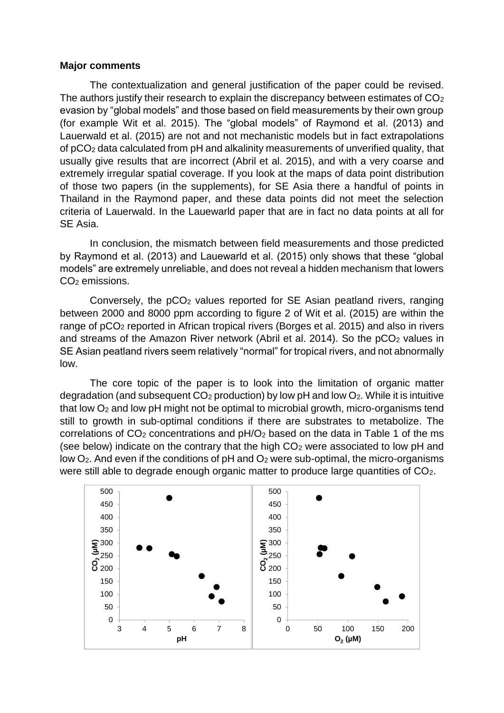## **Major comments**

The contextualization and general justification of the paper could be revised. The authors justify their research to explain the discrepancy between estimates of  $CO<sub>2</sub>$ evasion by "global models" and those based on field measurements by their own group (for example Wit et al. 2015). The "global models" of Raymond et al. (2013) and Lauerwald et al. (2015) are not and not mechanistic models but in fact extrapolations of pCO<sup>2</sup> data calculated from pH and alkalinity measurements of unverified quality, that usually give results that are incorrect (Abril et al. 2015), and with a very coarse and extremely irregular spatial coverage. If you look at the maps of data point distribution of those two papers (in the supplements), for SE Asia there a handful of points in Thailand in the Raymond paper, and these data points did not meet the selection criteria of Lauerwald. In the Lauewarld paper that are in fact no data points at all for SE Asia.

In conclusion, the mismatch between field measurements and those predicted by Raymond et al. (2013) and Lauewarld et al. (2015) only shows that these "global models" are extremely unreliable, and does not reveal a hidden mechanism that lowers CO<sup>2</sup> emissions.

Conversely, the pCO<sub>2</sub> values reported for SE Asian peatland rivers, ranging between 2000 and 8000 ppm according to figure 2 of Wit et al. (2015) are within the range of pCO<sup>2</sup> reported in African tropical rivers (Borges et al. 2015) and also in rivers and streams of the Amazon River network (Abril et al. 2014). So the  $pCO<sub>2</sub>$  values in SE Asian peatland rivers seem relatively "normal" for tropical rivers, and not abnormally low.

The core topic of the paper is to look into the limitation of organic matter degradation (and subsequent  $CO<sub>2</sub>$  production) by low pH and low  $O<sub>2</sub>$ . While it is intuitive that low  $O<sub>2</sub>$  and low pH might not be optimal to microbial growth, micro-organisms tend still to growth in sub-optimal conditions if there are substrates to metabolize. The correlations of  $CO<sub>2</sub>$  concentrations and  $pH/O<sub>2</sub>$  based on the data in Table 1 of the ms (see below) indicate on the contrary that the high  $CO<sub>2</sub>$  were associated to low pH and low  $O_2$ . And even if the conditions of pH and  $O_2$  were sub-optimal, the micro-organisms were still able to degrade enough organic matter to produce large quantities of CO<sub>2</sub>.